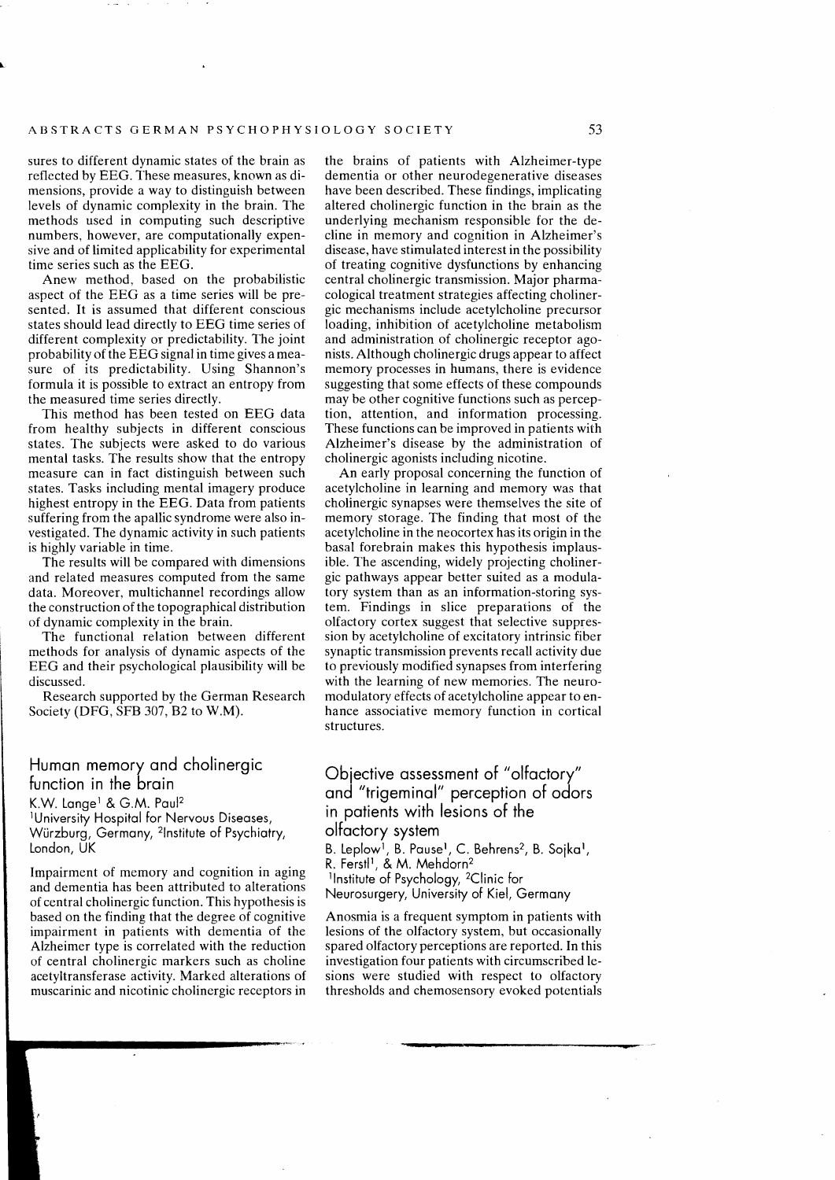sures to different dynamic states of the brain as reflected by EEG. These measures, known as dimensions, provide a way to distinguish between levels of dynamic complexity in the brain. The methods used in computing such descriptive numbers, however, are computationally expensive and of limited applicability for experimental time series such as the EEG.

Anew method, based on the probabilistic aspect of the EEG as a time series will be presented. lt is assumed that different conscious states should lead directly to EEG time series of different complexity or predictability. The joint probability of the EEG signal in time gives a measure of its predictability. Using Shannon's formula it is possible to extract an entropy from the measured time series directly.

This method has been tested on EEG data from healthy subjects in different conscious states. The subjects were asked to do various mental tasks. The results show that the entropy measure can in fact distinguish between such states. Tasks including mental imagery produce highest entropy in the EEG. Data from patients suffering from the apallic syndrome were also investigated. The dynamic activity in such patients is highly variable in time.

The results will be compared with dimensions and related measures computed from the same data. Moreover, multichannel recordings allow the construction of the topographical distribution of dynamic complexity in the brain.

The functional relation between different methods for analysis of dynamic aspects of the EEG and their psychological plausibility will be discussed.

Research supported by the German Research Society **(DFG, SFB** 307, B2 to **W.M).** 

## Human memory and cholinergic function in the brain K.W. Lange<sup>1</sup> & G.M. Paul<sup>2</sup><br><sup>1</sup>University Hospital for Nervous Diseases,

Würzburg, Germany, 21nstitute of Psychiatry, London, UK

Impairment of memory and cognition in aging and dementia has been attributed to alterations of central cholinergic function. This hypothesis is based on the finding that the degree of cognitive impairment in patients with dementia of the Alzheimer type is correlated with the reduction of central cholinergic markers such as choline acetyltransferase activity. Marked alterations of muscarinic and nicotinic cholinergic receptors in the brains of patients with Alzheimer-type dementia or other neurodegenerative diseases have been described. These findings, implicating altered cholinergic function in the brain as the underlying mechanism responsible for the decline in memory and cognition in Alzheimer's disease, have stimulated interest in the possibility of treating cognitive dysfunctions by enhancing central cholinergic transmission. Major pharmacological treatment strategies affecting cholinergic mechanisms include acetylcholine precursor loading, inhibition of acetylcholine metabolism and administration of cholinergic receptor agonists. Although cholinergic drugs appear to affect memory processes in humans, there is evidence suggesting that some effects of these compounds may be other cognitive functions such as perception, attention, and information processing. These functions can be improved in patients with Alzheimer's disease by the administration of cholinergic agonists including nicotine.

An early proposal concerning the function of acetylcholine in learning and memory was that cholinergic synapses were themselves the site of memory storage. The finding that most of the acetylcholine in the neocortex has its origin in the basal forebrain makes this hypothesis implausible. The ascending, widely projecting cholinergic pathways appear better suited as a modulatory system than as an information-storing system. Findings in slice preparations of the olfactory cortex suggest that selective suppression by acetylcholine of excitatory intrinsic fiber synaptic transmission prevents recall activity due to previously modified synapses from interfering with the learning of new memories. The neuromodulatory effects of acetylcholine appear to enhance associative memory function in cortical structures.

## Objective assessment of "olfactory" and "trigeminal" perception of odors in patients with lesions of the olfactory system

B. Leplow<sup>1</sup>, B. Pause<sup>1</sup>, C. Behrens<sup>2</sup>, B. Sojka<sup>1</sup>, R. Ferstl<sup>1</sup>, & M. Mehdorn<sup>2</sup> 11nstitute of Psychology, 2Clinic for Neurosurgery, University of Kiel, Germany

Anosmia is a frequent symptom in patients with lesions of the olfactory system, but occasionally spared olfactory perceptions are reported. In this investigation four patients with circumscribed lesions were studied with respect to olfactory thresholds and chemosensory evoked potentials